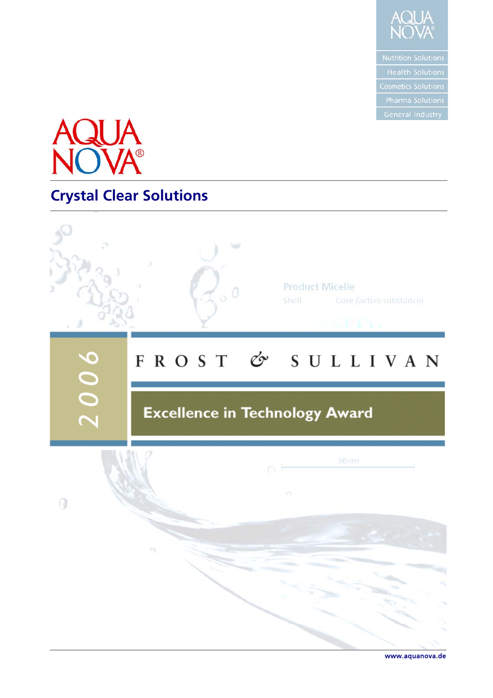



# **Crystal Clear Solutions**



www.aquanova.de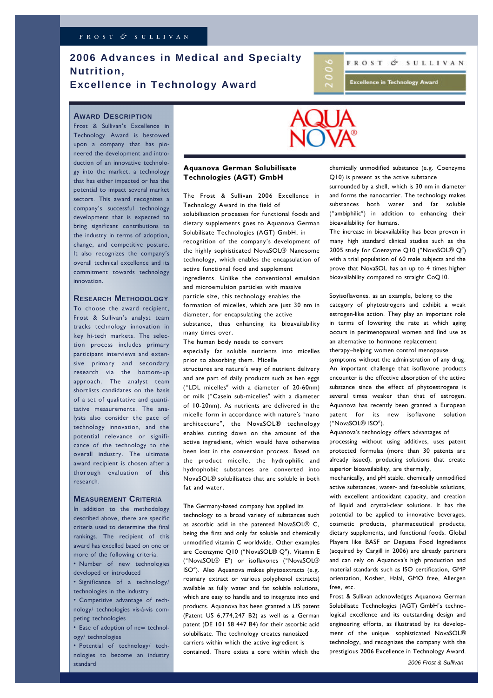### **2006 Advances in Medical and Specialty Nutrition, Excellence in Technology Award**

## FROST & SULLIVAN

**Excellence in Technology Award** 

#### **AWARD DESCRIPTION**

Frost & Sullivan's Excellence in Technology Award is bestowed upon a company that has pioneered the development and introduction of an innovative technology into the market; a technology that has either impacted or has the potential to impact several market sectors. This award recognizes a company's successful technology development that is expected to bring significant contributions to the industry in terms of adoption, change, and competitive posture. It also recognizes the company's overall technical excellence and its commitment towards technology innovation.

### **RESEARCH METHODOLOGY**

To choose the award recipient, Frost & Sullivan's analyst team tracks technology innovation in key hi-tech markets. The selection process includes primary participant interviews and extensive primary and secondary research via the bottom-up approach. The analyst team shortlists candidates on the basis of a set of qualitative and quantitative measurements. The analysts also consider the pace of technology innovation, and the potential relevance or significance of the technology to the overall industry. The ultimate award recipient is chosen after a thorough evaluation of this research.

#### **MEASUREMENT CRITERIA**

In addition to the methodology described above, there are specific criteria used to determine the final rankings. The recipient of this award has excelled based on one or more of the following criteria: • Number of new technologies developed or introduced

• Significance of a technology/ technologies in the industry

• Competitive advantage of technology/ technologies vis-à-vis competing technologies

• Ease of adoption of new technology/ technologies

• Potential of technology/ technologies to become an industry standard



#### **Aquanova German Solubilisate Technologies (AGT) GmbH**

The Frost & Sullivan 2006 Excellence in Technology Award in the field of solubilisation processes for functional foods and dietary supplements goes to Aquanova German Solubilisate Technologies (AGT) GmbH, in recognition of the company's development of the highly sophisticated NovaSOL® Nanosome technology, which enables the encapsulation of active functional food and supplement ingredients. Unlike the conventional emulsion and microemulsion particles with massive particle size, this technology enables the formation of micelles, which are just 30 nm in diameter, for encapsulating the active substance, thus enhancing its bioavailability many times over.

The human body needs to convert especially fat soluble nutrients into micelles prior to absorbing them. Micelle

structures are nature´s way of nutrient delivery and are part of daily products such as hen eggs ("LDL micelles" with a diameter of 20-60nm) or milk ("Casein sub-micelles" with a diameter of 10-20nm). As nutrients are delivered in the micelle form in accordance with nature´s "nano architecture", the NovaSOL® technology enables cutting down on the amount of the active ingredient, which would have otherwise been lost in the conversion process. Based on the product micelle, the hydrophilic and hydrophobic substances are converted into NovaSOL® solubilisates that are soluble in both fat and water.

#### The Germany-based company has applied its

technology to a broad variety of substances such as ascorbic acid in the patented  $NovaSO \times C$ being the first and only fat soluble and chemically unmodified vitamin C worldwide. Other examples are Coenzyme Q10 ("NovaSOL® Q"), Vitamin E ("NovaSOL® E") or isoflavones ("NovaSOL® ISO"). Also Aquanova makes phytoextracts (e.g. rosmary extract or various polyphenol extracts) available as fully water and fat soluble solutions, which are easy to handle and to integrate into end products. Aquanova has been granted a US patent (Patent US 6,774,247 B2) as well as a German patent (DE 101 58 447 B4) for their ascorbic acid solubilisate. The technology creates nanosized carriers within which the active ingredient is contained. There exists a core within which the

chemically unmodified substance (e.g. Coenzyme Q10) is present as the active substance

surrounded by a shell, which is 30 nm in diameter and forms the nanocarrier. The technology makes substances both water and fat soluble ("ambiphilic") in addition to enhancing their bioavailability for humans.

The increase in bioavailability has been proven in many high standard clinical studies such as the 2005 study for Coenzyme Q10 ("NovaSOL® Q") with a trial population of 60 male subjects and the prove that NovaSOL has an up to 4 times higher bioavailability compared to straight CoQ10.

Soyisoflavones, as an example, belong to the category of phytostrogens and exhibit a weak estrogen-like action. They play an important role in terms of lowering the rate at which aging occurs in perimenopausal women and find use as an alternative to hormone replacement

therapy—helping women control menopause symptoms without the administration of any drug. An important challenge that isoflavone products encounter is the effective absorption of the active substance since the effect of phytoestrogens is several times weaker than that of estrogen. Aquanova has recently been granted a European patent for its new isoflavone solution ("NovaSOL® ISO").

Aquanova´s technology offers advantages of

processing without using additives, uses patent protected formulas (more than 30 patents are already issued), producing solutions that create superior bioavailability, are thermally,

mechanically, and pH stable, chemically unmodified active substances, water- and fat-soluble solutions, with excellent antioxidant capacity, and creation of liquid and crystal-clear solutions. It has the potential to be applied to innovative beverages, cosmetic products, pharmaceutical products, dietary supplements, and functional foods. Global Players like BASF or Degussa Food Ingredients (acquired by Cargill in 2006) are already partners and can rely on Aquanova´s high production and material standards such as ISO certification, GMP orientation, Kosher, Halal, GMO free, Allergen free, etc.

Frost & Sullivan acknowledges Aquanova German Solubilisate Technologies (AGT) GmbH's technological excellence and its outstanding design and engineering efforts, as illustrated by its development of the unique, sophisticated NovaSOL® technology, and recognizes the company with the prestigious 2006 Excellence in Technology Award.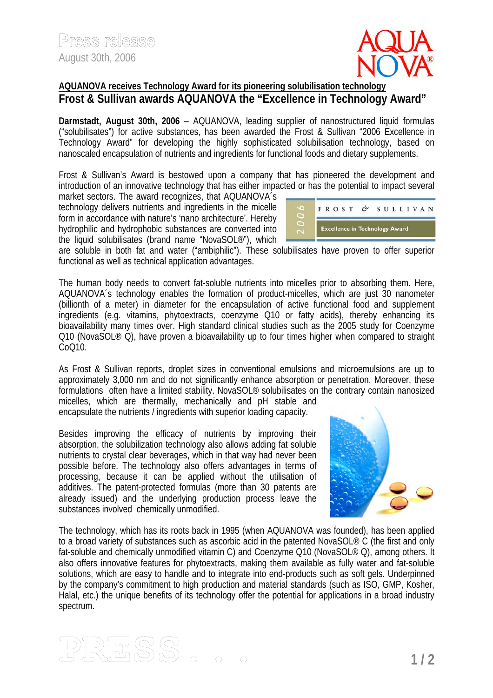

### **AQUANOVA receives Technology Award for its pioneering solubilisation technology Frost & Sullivan awards AQUANOVA the "Excellence in Technology Award"**

**Darmstadt, August 30th, 2006** – AQUANOVA, leading supplier of nanostructured liquid formulas ("solubilisates") for active substances, has been awarded the Frost & Sullivan "2006 Excellence in Technology Award" for developing the highly sophisticated solubilisation technology, based on nanoscaled encapsulation of nutrients and ingredients for functional foods and dietary supplements.

Frost & Sullivan's Award is bestowed upon a company that has pioneered the development and introduction of an innovative technology that has either impacted or has the potential to impact several

market sectors. The award recognizes, that AQUANOVA´s technology delivers nutrients and ingredients in the micelle form in accordance with nature's 'nano architecture'. Hereby hydrophilic and hydrophobic substances are converted into the liquid solubilisates (brand name "NovaSOL®"), which



are soluble in both fat and water ("ambiphilic"). These solubilisates have proven to offer superior functional as well as technical application advantages.

The human body needs to convert fat-soluble nutrients into micelles prior to absorbing them. Here, AQUANOVA´s technology enables the formation of product-micelles, which are just 30 nanometer (billionth of a meter) in diameter for the encapsulation of active functional food and supplement ingredients (e.g. vitamins, phytoextracts, coenzyme Q10 or fatty acids), thereby enhancing its bioavailability many times over. High standard clinical studies such as the 2005 study for Coenzyme Q10 (NovaSOL<sup>®</sup> Q), have proven a bioavailability up to four times higher when compared to straight CoQ10.

As Frost & Sullivan reports, droplet sizes in conventional emulsions and microemulsions are up to approximately 3,000 nm and do not significantly enhance absorption or penetration. Moreover, these formulations often have a limited stability. NovaSOL® solubilisates on the contrary contain nanosized micelles, which are thermally, mechanically and pH stable and encapsulate the nutrients / ingredients with superior loading capacity.

Besides improving the efficacy of nutrients by improving their absorption, the solubilization technology also allows adding fat soluble nutrients to crystal clear beverages, which in that way had never been possible before. The technology also offers advantages in terms of processing, because it can be applied without the utilisation of additives. The patent-protected formulas (more than 30 patents are already issued) and the underlying production process leave the substances involved chemically unmodified.



The technology, which has its roots back in 1995 (when AQUANOVA was founded), has been applied to a broad variety of substances such as ascorbic acid in the patented NovaSOL® C (the first and only fat-soluble and chemically unmodified vitamin C) and Coenzyme Q10 (NovaSOL® Q), among others. It also offers innovative features for phytoextracts, making them available as fully water and fat-soluble solutions, which are easy to handle and to integrate into end-products such as soft gels. Underpinned by the company's commitment to high production and material standards (such as ISO, GMP, Kosher, Halal, etc.) the unique benefits of its technology offer the potential for applications in a broad industry spectrum.

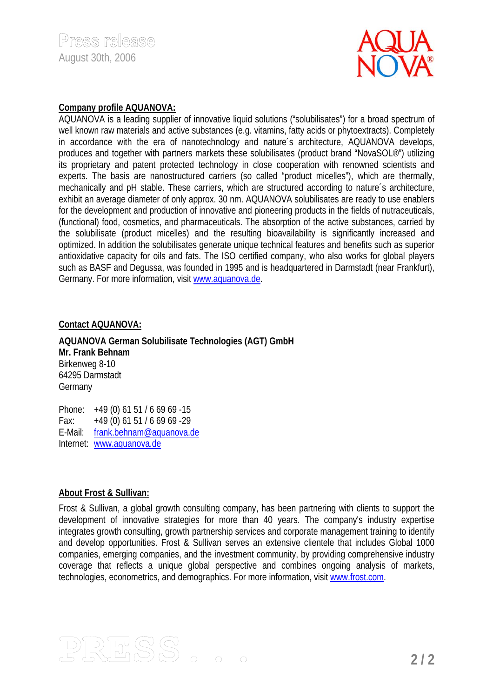

### **Company profile AQUANOVA:**

AQUANOVA is a leading supplier of innovative liquid solutions ("solubilisates") for a broad spectrum of well known raw materials and active substances (e.g. vitamins, fatty acids or phytoextracts). Completely in accordance with the era of nanotechnology and nature´s architecture, AQUANOVA develops, produces and together with partners markets these solubilisates (product brand "NovaSOL®") utilizing its proprietary and patent protected technology in close cooperation with renowned scientists and experts. The basis are nanostructured carriers (so called "product micelles"), which are thermally, mechanically and pH stable. These carriers, which are structured according to nature´s architecture, exhibit an average diameter of only approx. 30 nm. AQUANOVA solubilisates are ready to use enablers for the development and production of innovative and pioneering products in the fields of nutraceuticals, (functional) food, cosmetics, and pharmaceuticals. The absorption of the active substances, carried by the solubilisate (product micelles) and the resulting bioavailability is significantly increased and optimized. In addition the solubilisates generate unique technical features and benefits such as superior antioxidative capacity for oils and fats. The ISO certified company, who also works for global players such as BASF and Degussa, was founded in 1995 and is headquartered in Darmstadt (near Frankfurt), Germany. For more information, visit www.aquanova.de.

### **Contact AQUANOVA:**

**AQUANOVA German Solubilisate Technologies (AGT) GmbH Mr. Frank Behnam**  Birkenweg 8-10 64295 Darmstadt Germany

Phone: +49 (0) 61 51 / 6 69 69 -15 Fax: +49 (0) 61 51 / 6 69 69 -29 E-Mail: frank.behnam@aquanova.de Internet: www.aquanova.de

### **About Frost & Sullivan:**

Frost & Sullivan, a global growth consulting company, has been partnering with clients to support the development of innovative strategies for more than 40 years. The company's industry expertise integrates growth consulting, growth partnership services and corporate management training to identify and develop opportunities. Frost & Sullivan serves an extensive clientele that includes Global 1000 companies, emerging companies, and the investment community, by providing comprehensive industry coverage that reflects a unique global perspective and combines ongoing analysis of markets, technologies, econometrics, and demographics. For more information, visit www.frost.com.

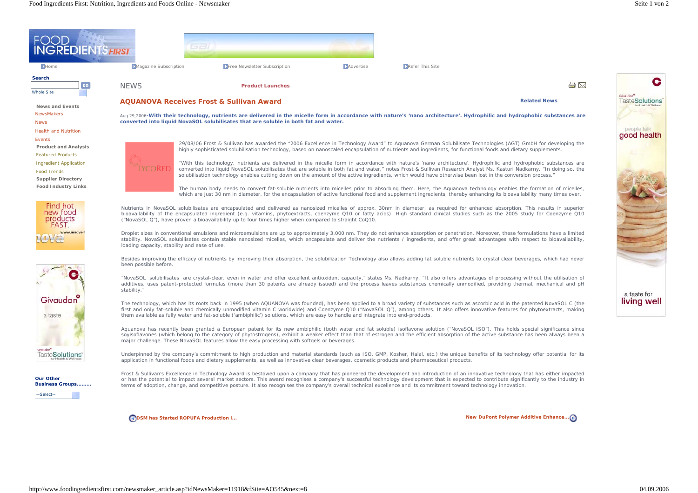